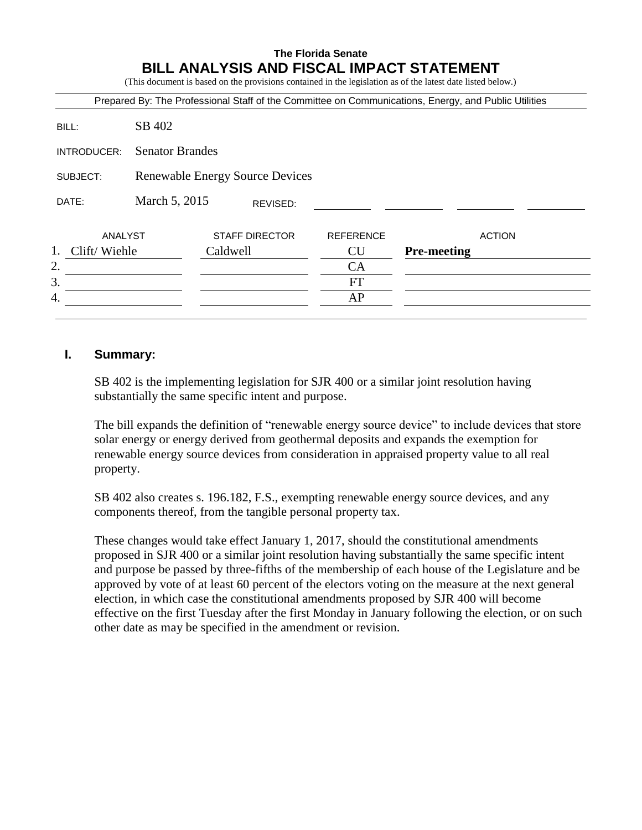# **The Florida Senate BILL ANALYSIS AND FISCAL IMPACT STATEMENT**

(This document is based on the provisions contained in the legislation as of the latest date listed below.)

|                                       |               |                                        |                  | Prepared By: The Professional Staff of the Committee on Communications, Energy, and Public Utilities |
|---------------------------------------|---------------|----------------------------------------|------------------|------------------------------------------------------------------------------------------------------|
| BILL:                                 | SB 402        |                                        |                  |                                                                                                      |
| <b>Senator Brandes</b><br>INTRODUCER: |               |                                        |                  |                                                                                                      |
| SUBJECT:                              |               | <b>Renewable Energy Source Devices</b> |                  |                                                                                                      |
| DATE:                                 | March 5, 2015 | REVISED:                               |                  |                                                                                                      |
| ANALYST                               |               | <b>STAFF DIRECTOR</b>                  | <b>REFERENCE</b> | <b>ACTION</b>                                                                                        |
| Clift/Wiehle<br>1.                    |               | Caldwell                               | <b>CU</b>        | <b>Pre-meeting</b>                                                                                   |
| 2.                                    |               |                                        | CA               |                                                                                                      |
| 3.                                    |               |                                        | <b>FT</b>        |                                                                                                      |
| 4.                                    |               |                                        | AP               |                                                                                                      |

### **I. Summary:**

SB 402 is the implementing legislation for SJR 400 or a similar joint resolution having substantially the same specific intent and purpose.

The bill expands the definition of "renewable energy source device" to include devices that store solar energy or energy derived from geothermal deposits and expands the exemption for renewable energy source devices from consideration in appraised property value to all real property.

SB 402 also creates s. 196.182, F.S., exempting renewable energy source devices, and any components thereof, from the tangible personal property tax.

These changes would take effect January 1, 2017, should the constitutional amendments proposed in SJR 400 or a similar joint resolution having substantially the same specific intent and purpose be passed by three-fifths of the membership of each house of the Legislature and be approved by vote of at least 60 percent of the electors voting on the measure at the next general election, in which case the constitutional amendments proposed by SJR 400 will become effective on the first Tuesday after the first Monday in January following the election, or on such other date as may be specified in the amendment or revision.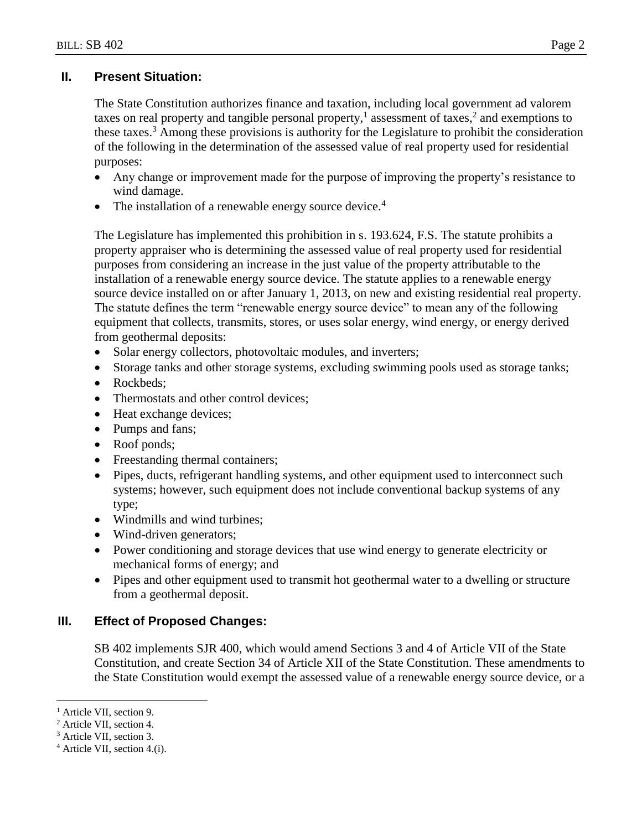# **II. Present Situation:**

The State Constitution authorizes finance and taxation, including local government ad valorem taxes on real property and tangible personal property,<sup>1</sup> assessment of taxes,<sup>2</sup> and exemptions to these taxes.<sup>3</sup> Among these provisions is authority for the Legislature to prohibit the consideration of the following in the determination of the assessed value of real property used for residential purposes:

- Any change or improvement made for the purpose of improving the property's resistance to wind damage.
- The installation of a renewable energy source device. $4$

The Legislature has implemented this prohibition in s. 193.624, F.S. The statute prohibits a property appraiser who is determining the assessed value of real property used for residential purposes from considering an increase in the just value of the property attributable to the installation of a renewable energy source device. The statute applies to a renewable energy source device installed on or after January 1, 2013, on new and existing residential real property. The statute defines the term "renewable energy source device" to mean any of the following equipment that collects, transmits, stores, or uses solar energy, wind energy, or energy derived from geothermal deposits:

- Solar energy collectors, photovoltaic modules, and inverters;
- Storage tanks and other storage systems, excluding swimming pools used as storage tanks;
- Rockbeds:
- Thermostats and other control devices;
- Heat exchange devices;
- Pumps and fans;
- Roof ponds;
- Freestanding thermal containers;
- Pipes, ducts, refrigerant handling systems, and other equipment used to interconnect such systems; however, such equipment does not include conventional backup systems of any type;
- Windmills and wind turbines;
- Wind-driven generators;
- Power conditioning and storage devices that use wind energy to generate electricity or mechanical forms of energy; and
- Pipes and other equipment used to transmit hot geothermal water to a dwelling or structure from a geothermal deposit.

# **III. Effect of Proposed Changes:**

SB 402 implements SJR 400, which would amend Sections 3 and 4 of Article VII of the State Constitution, and create Section 34 of Article XII of the State Constitution. These amendments to the State Constitution would exempt the assessed value of a renewable energy source device, or a

 $\overline{a}$ 

<sup>&</sup>lt;sup>1</sup> Article VII, section 9.

<sup>2</sup> Article VII, section 4.

<sup>3</sup> Article VII, section 3.

<sup>4</sup> Article VII, section 4.(i).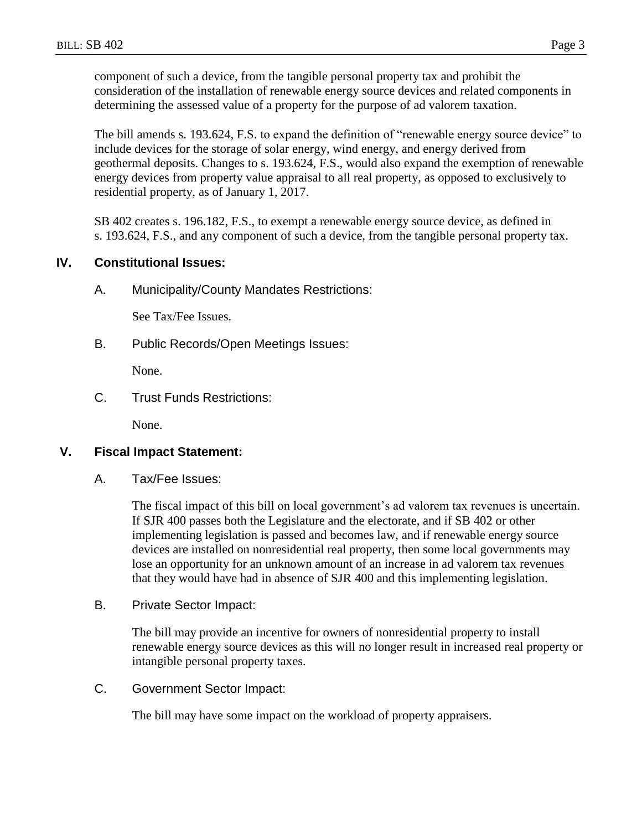component of such a device, from the tangible personal property tax and prohibit the consideration of the installation of renewable energy source devices and related components in determining the assessed value of a property for the purpose of ad valorem taxation.

The bill amends s. 193.624, F.S. to expand the definition of "renewable energy source device" to include devices for the storage of solar energy, wind energy, and energy derived from geothermal deposits. Changes to s. 193.624, F.S., would also expand the exemption of renewable energy devices from property value appraisal to all real property, as opposed to exclusively to residential property, as of January 1, 2017.

SB 402 creates s. 196.182, F.S., to exempt a renewable energy source device, as defined in s. 193.624, F.S., and any component of such a device, from the tangible personal property tax.

## **IV. Constitutional Issues:**

A. Municipality/County Mandates Restrictions:

See Tax/Fee Issues.

B. Public Records/Open Meetings Issues:

None.

C. Trust Funds Restrictions:

None.

#### **V. Fiscal Impact Statement:**

A. Tax/Fee Issues:

The fiscal impact of this bill on local government's ad valorem tax revenues is uncertain. If SJR 400 passes both the Legislature and the electorate, and if SB 402 or other implementing legislation is passed and becomes law, and if renewable energy source devices are installed on nonresidential real property, then some local governments may lose an opportunity for an unknown amount of an increase in ad valorem tax revenues that they would have had in absence of SJR 400 and this implementing legislation.

B. Private Sector Impact:

The bill may provide an incentive for owners of nonresidential property to install renewable energy source devices as this will no longer result in increased real property or intangible personal property taxes.

C. Government Sector Impact:

The bill may have some impact on the workload of property appraisers.